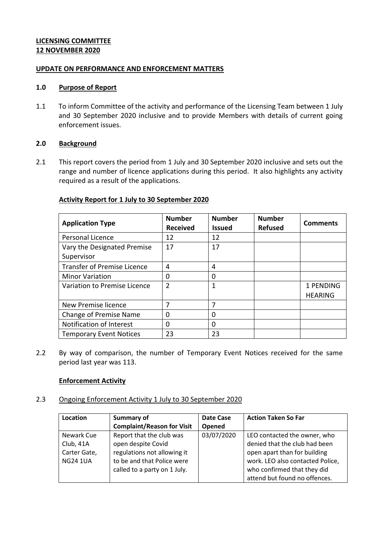### **LICENSING COMMITTEE 12 NOVEMBER 2020**

### **UPDATE ON PERFORMANCE AND ENFORCEMENT MATTERS**

#### **1.0 Purpose of Report**

1.1 To inform Committee of the activity and performance of the Licensing Team between 1 July and 30 September 2020 inclusive and to provide Members with details of current going enforcement issues.

### **2.0 Background**

2.1 This report covers the period from 1 July and 30 September 2020 inclusive and sets out the range and number of licence applications during this period. It also highlights any activity required as a result of the applications.

## **Activity Report for 1 July to 30 September 2020**

| <b>Application Type</b>            | <b>Number</b><br><b>Received</b> | <b>Number</b><br><b>Issued</b> | <b>Number</b><br><b>Refused</b> | <b>Comments</b> |
|------------------------------------|----------------------------------|--------------------------------|---------------------------------|-----------------|
| Personal Licence                   | 12                               | 12                             |                                 |                 |
| Vary the Designated Premise        | 17                               | 17                             |                                 |                 |
| Supervisor                         |                                  |                                |                                 |                 |
| <b>Transfer of Premise Licence</b> | 4                                | 4                              |                                 |                 |
| <b>Minor Variation</b>             | 0                                | 0                              |                                 |                 |
| Variation to Premise Licence       | $\overline{2}$                   | 1                              |                                 | 1 PENDING       |
|                                    |                                  |                                |                                 | <b>HEARING</b>  |
| New Premise licence                | 7                                | 7                              |                                 |                 |
| Change of Premise Name             | 0                                | 0                              |                                 |                 |
| Notification of Interest           | 0                                | 0                              |                                 |                 |
| <b>Temporary Event Notices</b>     | 23                               | 23                             |                                 |                 |

2.2 By way of comparison, the number of Temporary Event Notices received for the same period last year was 113.

### **Enforcement Activity**

2.3 Ongoing Enforcement Activity 1 July to 30 September 2020

| Location        | Summary of                        | <b>Date Case</b> | <b>Action Taken So Far</b>       |
|-----------------|-----------------------------------|------------------|----------------------------------|
|                 | <b>Complaint/Reason for Visit</b> | Opened           |                                  |
| Newark Cue      | Report that the club was          | 03/07/2020       | LEO contacted the owner, who     |
| Club, 41A       | open despite Covid                |                  | denied that the club had been    |
| Carter Gate,    | regulations not allowing it       |                  | open apart than for building     |
| <b>NG24 1UA</b> | to be and that Police were        |                  | work. LEO also contacted Police, |
|                 | called to a party on 1 July.      |                  | who confirmed that they did      |
|                 |                                   |                  | attend but found no offences.    |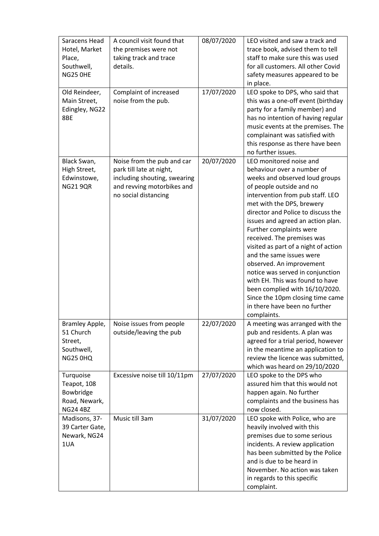| Saracens Head<br>Hotel, Market<br>Place,<br>Southwell,<br><b>NG25 OHE</b> | A council visit found that<br>the premises were not<br>taking track and trace<br>details.                                                    | 08/07/2020 | LEO visited and saw a track and<br>trace book, advised them to tell<br>staff to make sure this was used<br>for all customers. All other Covid<br>safety measures appeared to be<br>in place.                                                                                                                                                                                                                                                                                                                                                                                                                          |
|---------------------------------------------------------------------------|----------------------------------------------------------------------------------------------------------------------------------------------|------------|-----------------------------------------------------------------------------------------------------------------------------------------------------------------------------------------------------------------------------------------------------------------------------------------------------------------------------------------------------------------------------------------------------------------------------------------------------------------------------------------------------------------------------------------------------------------------------------------------------------------------|
| Old Reindeer,<br>Main Street,<br>Edingley, NG22<br>8BE                    | Complaint of increased<br>noise from the pub.                                                                                                | 17/07/2020 | LEO spoke to DPS, who said that<br>this was a one-off event (birthday<br>party for a family member) and<br>has no intention of having regular<br>music events at the premises. The<br>complainant was satisfied with<br>this response as there have been<br>no further issues.                                                                                                                                                                                                                                                                                                                                        |
| Black Swan,<br>High Street,<br>Edwinstowe,<br><b>NG21 9QR</b>             | Noise from the pub and car<br>park till late at night,<br>including shouting, swearing<br>and revving motorbikes and<br>no social distancing | 20/07/2020 | LEO monitored noise and<br>behaviour over a number of<br>weeks and observed loud groups<br>of people outside and no<br>intervention from pub staff. LEO<br>met with the DPS, brewery<br>director and Police to discuss the<br>issues and agreed an action plan.<br>Further complaints were<br>received. The premises was<br>visited as part of a night of action<br>and the same issues were<br>observed. An improvement<br>notice was served in conjunction<br>with EH. This was found to have<br>been complied with 16/10/2020.<br>Since the 10pm closing time came<br>in there have been no further<br>complaints. |
| Bramley Apple,<br>51 Church<br>Street,<br>Southwell,<br><b>NG25 0HQ</b>   | Noise issues from people<br>outside/leaving the pub                                                                                          | 22/07/2020 | A meeting was arranged with the<br>pub and residents. A plan was<br>agreed for a trial period, however<br>in the meantime an application to<br>review the licence was submitted,<br>which was heard on 29/10/2020                                                                                                                                                                                                                                                                                                                                                                                                     |
| Turquoise<br>Teapot, 108<br>Bowbridge<br>Road, Newark,<br><b>NG24 4BZ</b> | Excessive noise till 10/11pm                                                                                                                 | 27/07/2020 | LEO spoke to the DPS who<br>assured him that this would not<br>happen again. No further<br>complaints and the business has<br>now closed.                                                                                                                                                                                                                                                                                                                                                                                                                                                                             |
| Madisons, 37-<br>39 Carter Gate,<br>Newark, NG24<br>1UA                   | Music till 3am                                                                                                                               | 31/07/2020 | LEO spoke with Police, who are<br>heavily involved with this<br>premises due to some serious<br>incidents. A review application<br>has been submitted by the Police<br>and is due to be heard in<br>November. No action was taken<br>in regards to this specific<br>complaint.                                                                                                                                                                                                                                                                                                                                        |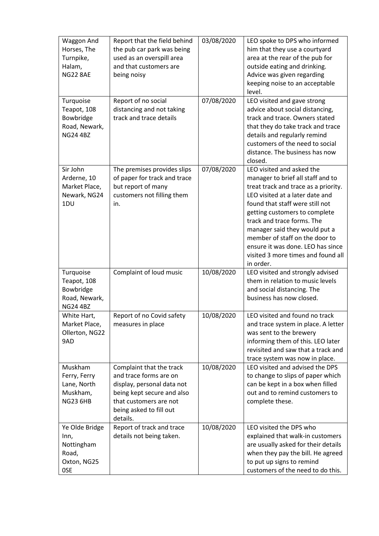| Waggon And<br>Horses, The<br>Turnpike,<br>Halam,<br><b>NG22 8AE</b>       | Report that the field behind<br>the pub car park was being<br>used as an overspill area<br>and that customers are<br>being noisy                                                | 03/08/2020 | LEO spoke to DPS who informed<br>him that they use a courtyard<br>area at the rear of the pub for<br>outside eating and drinking.<br>Advice was given regarding<br>keeping noise to an acceptable<br>level.                                                                                                                                                                                            |
|---------------------------------------------------------------------------|---------------------------------------------------------------------------------------------------------------------------------------------------------------------------------|------------|--------------------------------------------------------------------------------------------------------------------------------------------------------------------------------------------------------------------------------------------------------------------------------------------------------------------------------------------------------------------------------------------------------|
| Turquoise<br>Teapot, 108<br>Bowbridge<br>Road, Newark,<br><b>NG24 4BZ</b> | Report of no social<br>distancing and not taking<br>track and trace details                                                                                                     | 07/08/2020 | LEO visited and gave strong<br>advice about social distancing,<br>track and trace. Owners stated<br>that they do take track and trace<br>details and regularly remind<br>customers of the need to social<br>distance. The business has now<br>closed.                                                                                                                                                  |
| Sir John<br>Arderne, 10<br>Market Place,<br>Newark, NG24<br>1DU           | The premises provides slips<br>of paper for track and trace<br>but report of many<br>customers not filling them<br>in.                                                          | 07/08/2020 | LEO visited and asked the<br>manager to brief all staff and to<br>treat track and trace as a priority.<br>LEO visited at a later date and<br>found that staff were still not<br>getting customers to complete<br>track and trace forms. The<br>manager said they would put a<br>member of staff on the door to<br>ensure it was done. LEO has since<br>visited 3 more times and found all<br>in order. |
| Turquoise<br>Teapot, 108<br>Bowbridge<br>Road, Newark,<br><b>NG24 4BZ</b> | Complaint of loud music                                                                                                                                                         | 10/08/2020 | LEO visited and strongly advised<br>them in relation to music levels<br>and social distancing. The<br>business has now closed.                                                                                                                                                                                                                                                                         |
| White Hart,<br>Market Place,<br>Ollerton, NG22<br>9AD                     | Report of no Covid safety<br>measures in place                                                                                                                                  | 10/08/2020 | LEO visited and found no track<br>and trace system in place. A letter<br>was sent to the brewery<br>informing them of this. LEO later<br>revisited and saw that a track and<br>trace system was now in place.                                                                                                                                                                                          |
| Muskham<br>Ferry, Ferry<br>Lane, North<br>Muskham,<br><b>NG23 6HB</b>     | Complaint that the track<br>and trace forms are on<br>display, personal data not<br>being kept secure and also<br>that customers are not<br>being asked to fill out<br>details. | 10/08/2020 | LEO visited and advised the DPS<br>to change to slips of paper which<br>can be kept in a box when filled<br>out and to remind customers to<br>complete these.                                                                                                                                                                                                                                          |
| Ye Olde Bridge<br>Inn,<br>Nottingham<br>Road,<br>Oxton, NG25<br>0SE       | Report of track and trace<br>details not being taken.                                                                                                                           | 10/08/2020 | LEO visited the DPS who<br>explained that walk-in customers<br>are usually asked for their details<br>when they pay the bill. He agreed<br>to put up signs to remind<br>customers of the need to do this.                                                                                                                                                                                              |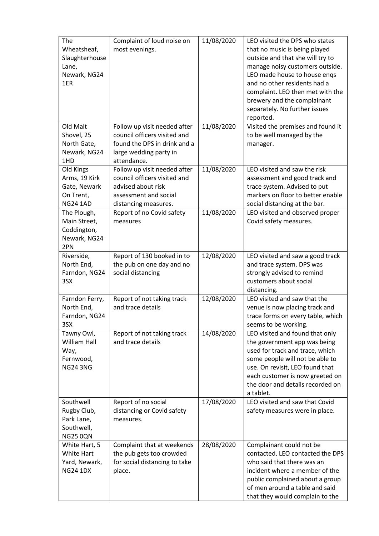| The<br>Wheatsheaf,<br>Slaughterhouse<br>Lane,<br>Newark, NG24<br>1ER       | Complaint of loud noise on<br>most evenings.                                                                                          | 11/08/2020 | LEO visited the DPS who states<br>that no music is being played<br>outside and that she will try to<br>manage noisy customers outside.<br>LEO made house to house engs<br>and no other residents had a<br>complaint. LEO then met with the<br>brewery and the complainant<br>separately. No further issues<br>reported. |
|----------------------------------------------------------------------------|---------------------------------------------------------------------------------------------------------------------------------------|------------|-------------------------------------------------------------------------------------------------------------------------------------------------------------------------------------------------------------------------------------------------------------------------------------------------------------------------|
| Old Malt<br>Shovel, 25<br>North Gate,<br>Newark, NG24<br>1HD               | Follow up visit needed after<br>council officers visited and<br>found the DPS in drink and a<br>large wedding party in<br>attendance. | 11/08/2020 | Visited the premises and found it<br>to be well managed by the<br>manager.                                                                                                                                                                                                                                              |
| Old Kings<br>Arms, 19 Kirk<br>Gate, Newark<br>On Trent,<br><b>NG24 1AD</b> | Follow up visit needed after<br>council officers visited and<br>advised about risk<br>assessment and social<br>distancing measures.   | 11/08/2020 | LEO visited and saw the risk<br>assessment and good track and<br>trace system. Advised to put<br>markers on floor to better enable<br>social distancing at the bar.                                                                                                                                                     |
| The Plough,<br>Main Street,<br>Coddington,<br>Newark, NG24<br>2PN          | Report of no Covid safety<br>measures                                                                                                 | 11/08/2020 | LEO visited and observed proper<br>Covid safety measures.                                                                                                                                                                                                                                                               |
| Riverside,<br>North End,<br>Farndon, NG24<br>3SX                           | Report of 130 booked in to<br>the pub on one day and no<br>social distancing                                                          | 12/08/2020 | LEO visited and saw a good track<br>and trace system. DPS was<br>strongly advised to remind<br>customers about social<br>distancing.                                                                                                                                                                                    |
| Farndon Ferry,<br>North End,<br>Farndon, NG24<br>3SX                       | Report of not taking track<br>and trace details                                                                                       | 12/08/2020 | LEO visited and saw that the<br>venue is now placing track and<br>trace forms on every table, which<br>seems to be working.                                                                                                                                                                                             |
| Tawny Owl,<br><b>William Hall</b><br>Way,<br>Fernwood,<br><b>NG24 3NG</b>  | Report of not taking track<br>and trace details                                                                                       | 14/08/2020 | LEO visited and found that only<br>the government app was being<br>used for track and trace, which<br>some people will not be able to<br>use. On revisit, LEO found that<br>each customer is now greeted on<br>the door and details recorded on<br>a tablet.                                                            |
| Southwell<br>Rugby Club,<br>Park Lane,<br>Southwell,<br><b>NG25 0QN</b>    | Report of no social<br>distancing or Covid safety<br>measures.                                                                        | 17/08/2020 | LEO visited and saw that Covid<br>safety measures were in place.                                                                                                                                                                                                                                                        |
| White Hart, 5<br><b>White Hart</b><br>Yard, Newark,<br><b>NG24 1DX</b>     | Complaint that at weekends<br>the pub gets too crowded<br>for social distancing to take<br>place.                                     | 28/08/2020 | Complainant could not be<br>contacted. LEO contacted the DPS<br>who said that there was an<br>incident where a member of the<br>public complained about a group<br>of men around a table and said<br>that they would complain to the                                                                                    |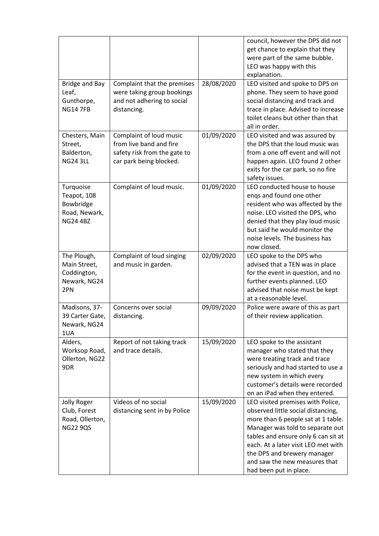|                                                                           |                                                                                                               |            | council, however the DPS did not<br>get chance to explain that they<br>were part of the same bubble.<br>LEO was happy with this<br>explanation.                                                                                                                                                                           |
|---------------------------------------------------------------------------|---------------------------------------------------------------------------------------------------------------|------------|---------------------------------------------------------------------------------------------------------------------------------------------------------------------------------------------------------------------------------------------------------------------------------------------------------------------------|
| Bridge and Bay<br>Leaf,<br>Gunthorpe,<br><b>NG14 7FB</b>                  | Complaint that the premises<br>were taking group bookings<br>and not adhering to social<br>distancing.        | 28/08/2020 | LEO visited and spoke to DPS on<br>phone. They seem to have good<br>social distancing and track and<br>trace in place. Advised to increase<br>toilet cleans but other than that<br>all in order.                                                                                                                          |
| Chesters, Main<br>Street,<br>Balderton,<br><b>NG24 3LL</b>                | Complaint of loud music<br>from live band and fire<br>safety risk from the gate to<br>car park being blocked. | 01/09/2020 | LEO visited and was assured by<br>the DPS that the loud music was<br>from a one off event and will not<br>happen again. LEO found 2 other<br>exits for the car park, so no fire<br>safety issues.                                                                                                                         |
| Turquoise<br>Teapot, 108<br>Bowbridge<br>Road, Newark,<br><b>NG24 4BZ</b> | Complaint of loud music.                                                                                      | 01/09/2020 | LEO conducted house to house<br>engs and found one other<br>resident who was affected by the<br>noise. LEO visited the DPS, who<br>denied that they play loud music<br>but said he would monitor the<br>noise levels. The business has<br>now closed.                                                                     |
| The Plough,<br>Main Street,<br>Coddington,<br>Newark, NG24<br>2PN         | Complaint of loud singing<br>and music in garden.                                                             | 02/09/2020 | LEO spoke to the DPS who<br>advised that a TEN was in place<br>for the event in question, and no<br>further events planned. LEO<br>advised that noise must be kept<br>at a reasonable level.                                                                                                                              |
| Madisons, 37-<br>39 Carter Gate,<br>Newark, NG24<br>1UA                   | Concerns over social<br>distancing.                                                                           | 09/09/2020 | Police were aware of this as part<br>of their review application.                                                                                                                                                                                                                                                         |
| Alders,<br>Worksop Road,<br>Ollerton, NG22<br>9DR                         | Report of not taking track<br>and trace details.                                                              | 15/09/2020 | LEO spoke to the assistant<br>manager who stated that they<br>were treating track and trace<br>seriously and had started to use a<br>new system in which every<br>customer's details were recorded<br>on an iPad when they entered.                                                                                       |
| <b>Jolly Roger</b><br>Club, Forest<br>Road, Ollerton,<br><b>NG22 9QS</b>  | Videos of no social<br>distancing sent in by Police                                                           | 15/09/2020 | LEO visited premises with Police,<br>observed little social distancing,<br>more than 6 people sat at 1 table.<br>Manager was told to separate out<br>tables and ensure only 6 can sit at<br>each. At a later visit LEO met with<br>the DPS and brewery manager<br>and saw the new measures that<br>had been put in place. |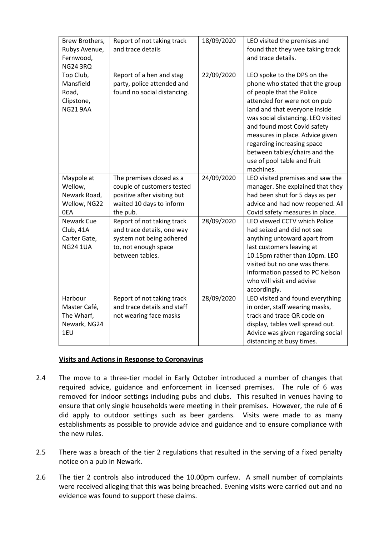| Brew Brothers,<br>Rubys Avenue,<br>Fernwood,<br><b>NG24 3RQ</b>  | Report of not taking track<br>and trace details                                                                                 | 18/09/2020 | LEO visited the premises and<br>found that they wee taking track<br>and trace details.                                                                                                                                                                                                                                                                                          |
|------------------------------------------------------------------|---------------------------------------------------------------------------------------------------------------------------------|------------|---------------------------------------------------------------------------------------------------------------------------------------------------------------------------------------------------------------------------------------------------------------------------------------------------------------------------------------------------------------------------------|
| Top Club,<br>Mansfield<br>Road,<br>Clipstone,<br><b>NG21 9AA</b> | Report of a hen and stag<br>party, police attended and<br>found no social distancing.                                           | 22/09/2020 | LEO spoke to the DPS on the<br>phone who stated that the group<br>of people that the Police<br>attended for were not on pub<br>land and that everyone inside<br>was social distancing. LEO visited<br>and found most Covid safety<br>measures in place. Advice given<br>regarding increasing space<br>between tables/chairs and the<br>use of pool table and fruit<br>machines. |
| Maypole at<br>Wellow,<br>Newark Road,<br>Wellow, NG22<br>0EA     | The premises closed as a<br>couple of customers tested<br>positive after visiting but<br>waited 10 days to inform<br>the pub.   | 24/09/2020 | LEO visited premises and saw the<br>manager. She explained that they<br>had been shut for 5 days as per<br>advice and had now reopened. All<br>Covid safety measures in place.                                                                                                                                                                                                  |
| Newark Cue<br>Club, 41A<br>Carter Gate,<br><b>NG24 1UA</b>       | Report of not taking track<br>and trace details, one way<br>system not being adhered<br>to, not enough space<br>between tables. | 28/09/2020 | LEO viewed CCTV which Police<br>had seized and did not see<br>anything untoward apart from<br>last customers leaving at<br>10.15pm rather than 10pm. LEO<br>visited but no one was there.<br>Information passed to PC Nelson<br>who will visit and advise<br>accordingly.                                                                                                       |
| Harbour<br>Master Café,<br>The Wharf,<br>Newark, NG24<br>1EU     | Report of not taking track<br>and trace details and staff<br>not wearing face masks                                             | 28/09/2020 | LEO visited and found everything<br>in order, staff wearing masks,<br>track and trace QR code on<br>display, tables well spread out.<br>Advice was given regarding social<br>distancing at busy times.                                                                                                                                                                          |

## **Visits and Actions in Response to Coronavirus**

- 2.4 The move to a three-tier model in Early October introduced a number of changes that required advice, guidance and enforcement in licensed premises. The rule of 6 was removed for indoor settings including pubs and clubs. This resulted in venues having to ensure that only single households were meeting in their premises. However, the rule of 6 did apply to outdoor settings such as beer gardens. Visits were made to as many establishments as possible to provide advice and guidance and to ensure compliance with the new rules.
- 2.5 There was a breach of the tier 2 regulations that resulted in the serving of a fixed penalty notice on a pub in Newark.
- 2.6 The tier 2 controls also introduced the 10.00pm curfew. A small number of complaints were received alleging that this was being breached. Evening visits were carried out and no evidence was found to support these claims.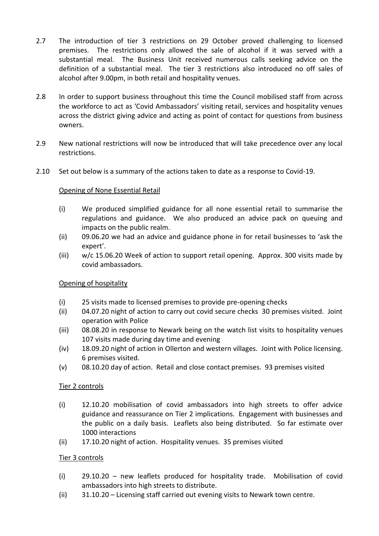- 2.7 The introduction of tier 3 restrictions on 29 October proved challenging to licensed premises. The restrictions only allowed the sale of alcohol if it was served with a substantial meal. The Business Unit received numerous calls seeking advice on the definition of a substantial meal. The tier 3 restrictions also introduced no off sales of alcohol after 9.00pm, in both retail and hospitality venues.
- 2.8 In order to support business throughout this time the Council mobilised staff from across the workforce to act as 'Covid Ambassadors' visiting retail, services and hospitality venues across the district giving advice and acting as point of contact for questions from business owners.
- 2.9 New national restrictions will now be introduced that will take precedence over any local restrictions.
- 2.10 Set out below is a summary of the actions taken to date as a response to Covid-19.

# Opening of None Essential Retail

- (i) We produced simplified guidance for all none essential retail to summarise the regulations and guidance. We also produced an advice pack on queuing and impacts on the public realm.
- (ii) 09.06.20 we had an advice and guidance phone in for retail businesses to 'ask the expert'.
- (iii) w/c 15.06.20 Week of action to support retail opening. Approx. 300 visits made by covid ambassadors.

## Opening of hospitality

- (i) 25 visits made to licensed premises to provide pre-opening checks
- (ii) 04.07.20 night of action to carry out covid secure checks 30 premises visited. Joint operation with Police
- (iii) 08.08.20 in response to Newark being on the watch list visits to hospitality venues 107 visits made during day time and evening
- (iv) 18.09.20 night of action in Ollerton and western villages. Joint with Police licensing. 6 premises visited.
- (v) 08.10.20 day of action. Retail and close contact premises. 93 premises visited

# Tier 2 controls

- (i) 12.10.20 mobilisation of covid ambassadors into high streets to offer advice guidance and reassurance on Tier 2 implications. Engagement with businesses and the public on a daily basis. Leaflets also being distributed. So far estimate over 1000 interactions
- (ii) 17.10.20 night of action. Hospitality venues. 35 premises visited

## Tier 3 controls

- (i) 29.10.20 new leaflets produced for hospitality trade. Mobilisation of covid ambassadors into high streets to distribute.
- (ii) 31.10.20 Licensing staff carried out evening visits to Newark town centre.